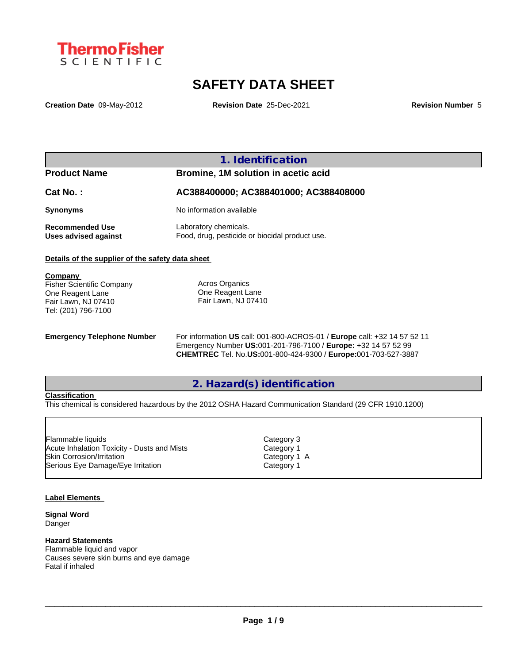

# **SAFETY DATA SHEET**

**Creation Date** 09-May-2012 **Revision Date** 25-Dec-2021 **Revision Number** 5

## **1. Identification**

| <b>Product Name</b>                     | Bromine, 1M solution in acetic acid                                     |
|-----------------------------------------|-------------------------------------------------------------------------|
| Cat No. :                               | AC388400000; AC388401000; AC388408000                                   |
| Synonyms                                | No information available                                                |
| Recommended Use<br>Uses advised against | Laboratory chemicals.<br>Food, drug, pesticide or biocidal product use. |

### **Details of the supplier of the safety data sheet**

| Company                          |                     |
|----------------------------------|---------------------|
| <b>Fisher Scientific Company</b> | Acros Organics      |
| One Reagent Lane                 | One Reagent Lane    |
| Fair Lawn, NJ 07410              | Fair Lawn, NJ 07410 |
| Tel: (201) 796-7100              |                     |
|                                  |                     |

**Emergency Telephone Number** For information **US** call: 001-800-ACROS-01 / **Europe** call: +32 14 57 52 11 Emergency Number **US:**001-201-796-7100 / **Europe:** +32 14 57 52 99 **CHEMTREC** Tel. No.**US:**001-800-424-9300 / **Europe:**001-703-527-3887

# **2. Hazard(s) identification**

### **Classification**

This chemical is considered hazardous by the 2012 OSHA Hazard Communication Standard (29 CFR 1910.1200)

| Category 3   |  |
|--------------|--|
| Category 1   |  |
| Category 1 A |  |
| Category 1   |  |
|              |  |

### **Label Elements**

**Signal Word** Danger

### **Hazard Statements**

Flammable liquid and vapor Causes severe skin burns and eye damage Fatal if inhaled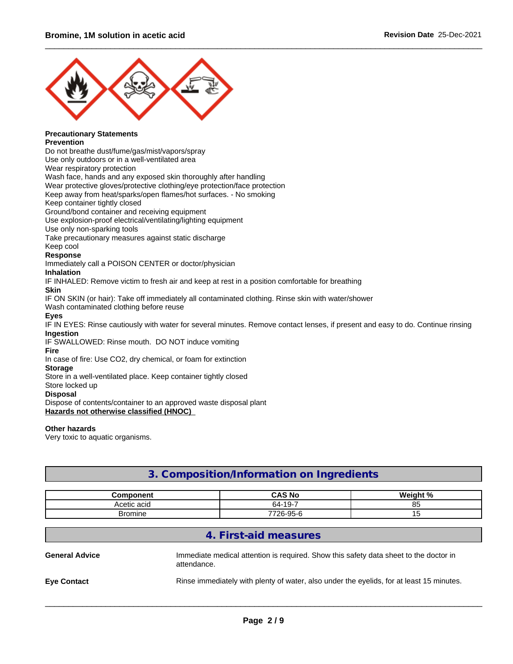

#### **Precautionary Statements Prevention**

Do not breathe dust/fume/gas/mist/vapors/spray

Use only outdoors or in a well-ventilated area

Wear respiratory protection

Wash face, hands and any exposed skin thoroughly after handling

Wear protective gloves/protective clothing/eye protection/face protection

Keep away from heat/sparks/open flames/hot surfaces. - No smoking

Keep container tightly closed

Ground/bond container and receiving equipment

Use explosion-proof electrical/ventilating/lighting equipment

Use only non-sparking tools

Take precautionary measures against static discharge

Keep cool

### **Response**

Immediately call a POISON CENTER or doctor/physician

### **Inhalation**

IF INHALED: Remove victim to fresh air and keep at rest in a position comfortable for breathing

### **Skin**

IF ON SKIN (or hair): Take off immediately all contaminated clothing. Rinse skin with water/shower

Wash contaminated clothing before reuse

### **Eyes**

IF IN EYES: Rinse cautiously with water for several minutes. Remove contact lenses, if present and easy to do. Continue rinsing **Ingestion**

IF SWALLOWED: Rinse mouth. DO NOT induce vomiting

# **Fire**

In case of fire: Use CO2, dry chemical, or foam for extinction

### **Storage**

Store in a well-ventilated place. Keep container tightly closed

Store locked up

### **Disposal**

Dispose of contents/container to an approved waste disposal plant

**Hazards not otherwise classified (HNOC)**

### **Other hazards**

Very toxic to aquatic organisms.

## **3. Composition/Information on Ingredients**

| `omnonant         | CAS No            | $M \sim I \sim h + 0$ |
|-------------------|-------------------|-----------------------|
| .cotic ocu<br>au. | -<br>64-19<br>19- | $\sim$<br>ັບ          |
| Bromine           | 7726-95-<br>ິ     |                       |

## **4. First-aid measures**

| <b>General Advice</b> | Immediate medical attention is required. Show this safety data sheet to the doctor in<br>attendance. |
|-----------------------|------------------------------------------------------------------------------------------------------|
| <b>Eve Contact</b>    | Rinse immediately with plenty of water, also under the eyelids, for at least 15 minutes.             |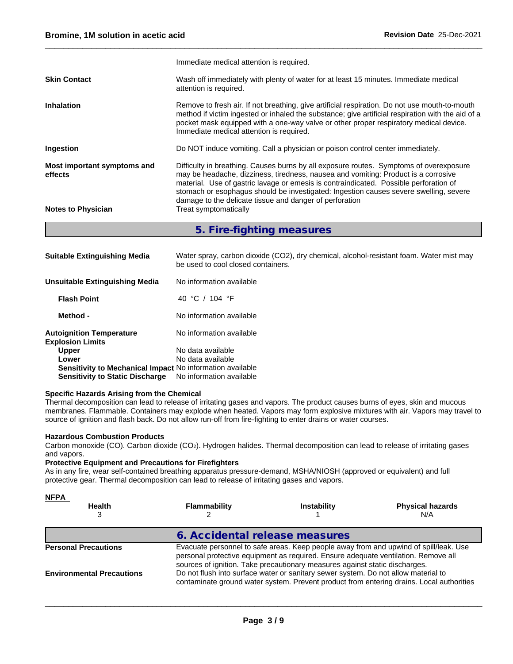|                                        | 5 Eiro fighting moncures                                                                                                                                                                                                                                                                                                                                       |
|----------------------------------------|----------------------------------------------------------------------------------------------------------------------------------------------------------------------------------------------------------------------------------------------------------------------------------------------------------------------------------------------------------------|
| <b>Notes to Physician</b>              | damage to the delicate tissue and danger of perforation<br>Treat symptomatically                                                                                                                                                                                                                                                                               |
| Most important symptoms and<br>effects | Difficulty in breathing. Causes burns by all exposure routes. Symptoms of overexposure<br>may be headache, dizziness, tiredness, nausea and vomiting: Product is a corrosive<br>material. Use of gastric lavage or emesis is contraindicated. Possible perforation of<br>stomach or esophagus should be investigated: Ingestion causes severe swelling, severe |
| Ingestion                              | Do NOT induce vomiting. Call a physician or poison control center immediately.                                                                                                                                                                                                                                                                                 |
| <b>Inhalation</b>                      | Remove to fresh air. If not breathing, give artificial respiration. Do not use mouth-to-mouth<br>method if victim ingested or inhaled the substance; give artificial respiration with the aid of a<br>pocket mask equipped with a one-way valve or other proper respiratory medical device.<br>Immediate medical attention is required.                        |
| <b>Skin Contact</b>                    | Wash off immediately with plenty of water for at least 15 minutes. Immediate medical<br>attention is required.                                                                                                                                                                                                                                                 |
|                                        | Immediate medical attention is required.                                                                                                                                                                                                                                                                                                                       |

### **5. Fire-fighting measures**

| <b>Suitable Extinguishing Media</b>                              | Water spray, carbon dioxide (CO2), dry chemical, alcohol-resistant foam. Water mist may<br>be used to cool closed containers. |
|------------------------------------------------------------------|-------------------------------------------------------------------------------------------------------------------------------|
| Unsuitable Extinguishing Media                                   | No information available                                                                                                      |
| <b>Flash Point</b>                                               | 40 °C / 104 °F                                                                                                                |
| Method -                                                         | No information available                                                                                                      |
| <b>Autoignition Temperature</b><br><b>Explosion Limits</b>       | No information available                                                                                                      |
| <b>Upper</b>                                                     | No data available                                                                                                             |
| Lower                                                            | No data available                                                                                                             |
| <b>Sensitivity to Mechanical Impact No information available</b> |                                                                                                                               |
| <b>Sensitivity to Static Discharge</b>                           | No information available                                                                                                      |

### **Specific Hazards Arising from the Chemical**

Thermal decomposition can lead to release of irritating gases and vapors. The product causes burns of eyes, skin and mucous membranes. Flammable. Containers may explode when heated. Vapors may form explosive mixtures with air. Vapors may travel to source of ignition and flash back. Do not allow run-off from fire-fighting to enter drains or water courses.

#### **Hazardous Combustion Products**

Carbon monoxide (CO). Carbon dioxide (CO2). Hydrogen halides. Thermal decomposition can lead to release of irritating gases and vapors.

## **Protective Equipment and Precautions for Firefighters**

As in any fire, wear self-contained breathing apparatus pressure-demand, MSHA/NIOSH (approved or equivalent) and full protective gear. Thermal decomposition can lead to release of irritating gases and vapors.

| <b>NFPA</b><br><b>Health</b>     | <b>Flammability</b>                                                                                                                                                                                                                                        | <b>Instability</b>                                                                 | <b>Physical hazards</b><br>N/A                                                           |  |
|----------------------------------|------------------------------------------------------------------------------------------------------------------------------------------------------------------------------------------------------------------------------------------------------------|------------------------------------------------------------------------------------|------------------------------------------------------------------------------------------|--|
|                                  | 6. Accidental release measures                                                                                                                                                                                                                             |                                                                                    |                                                                                          |  |
| <b>Personal Precautions</b>      | Evacuate personnel to safe areas. Keep people away from and upwind of spill/leak. Use<br>personal protective equipment as required. Ensure adequate ventilation. Remove all<br>sources of ignition. Take precautionary measures against static discharges. |                                                                                    |                                                                                          |  |
| <b>Environmental Precautions</b> |                                                                                                                                                                                                                                                            | Do not flush into surface water or sanitary sewer system. Do not allow material to | contaminate ground water system. Prevent product from entering drains. Local authorities |  |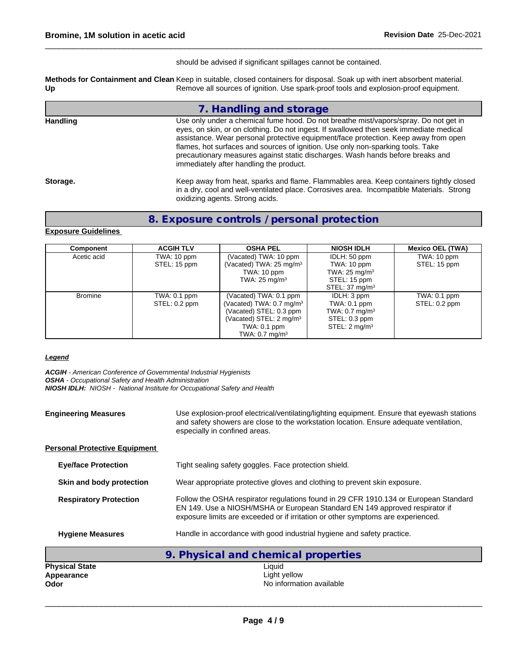should be advised if significant spillages cannot be contained.

**Methods for Containment and Clean Up** Keep in suitable, closed containers for disposal. Soak up with inert absorbent material. Remove all sources of ignition. Use spark-proof tools and explosion-proof equipment.

|          | 7. Handling and storage                                                                                                                                                                                                                                                                                                                                                                                                                                                               |
|----------|---------------------------------------------------------------------------------------------------------------------------------------------------------------------------------------------------------------------------------------------------------------------------------------------------------------------------------------------------------------------------------------------------------------------------------------------------------------------------------------|
| Handling | Use only under a chemical fume hood. Do not breathe mist/vapors/spray. Do not get in<br>eyes, on skin, or on clothing. Do not ingest. If swallowed then seek immediate medical<br>assistance. Wear personal protective equipment/face protection. Keep away from open<br>flames, hot surfaces and sources of ignition. Use only non-sparking tools. Take<br>precautionary measures against static discharges. Wash hands before breaks and<br>immediately after handling the product. |
| Storage. | Keep away from heat, sparks and flame. Flammables area. Keep containers tightly closed<br>in a dry, cool and well-ventilated place. Corrosives area. Incompatible Materials. Strong<br>oxidizing agents. Strong acids.                                                                                                                                                                                                                                                                |

## **8. Exposure controls / personal protection**

### **Exposure Guidelines**

| Component      | <b>ACGIH TLV</b> | <b>OSHA PEL</b>                     | <b>NIOSH IDLH</b>         | <b>Mexico OEL (TWA)</b> |  |
|----------------|------------------|-------------------------------------|---------------------------|-------------------------|--|
| Acetic acid    | TWA: 10 ppm      | (Vacated) TWA: 10 ppm               | IDLH: 50 ppm              | TWA: 10 ppm             |  |
|                | STEL: 15 ppm     | (Vacated) TWA: $25 \text{ mg/m}^3$  | TWA: 10 ppm               | STEL: 15 ppm            |  |
|                |                  | TWA: 10 ppm                         | TWA: $25 \text{ mg/m}^3$  |                         |  |
|                |                  | TWA: $25 \text{ mg/m}^3$            | STEL: 15 ppm              |                         |  |
|                |                  |                                     | STEL: $37 \text{ mg/m}^3$ |                         |  |
| <b>Bromine</b> | $TWA: 0.1$ ppm   | (Vacated) TWA: 0.1 ppm              | IDLH: 3 ppm               | TWA: $0.1$ ppm          |  |
|                | STEL: 0.2 ppm    | Vacated) TWA: 0.7 mg/m <sup>3</sup> | TWA: 0.1 ppm              | $STEL: 0.2$ ppm         |  |
|                |                  | (Vacated) STEL: 0.3 ppm             | TWA: $0.7 \text{ mg/m}^3$ |                         |  |
|                |                  | (Vacated) STEL: $2 \text{ mg/m}^3$  | STEL: 0.3 ppm             |                         |  |
|                |                  | TWA: 0.1 ppm                        | STEL: 2 mg/m <sup>3</sup> |                         |  |
|                |                  | TWA: $0.7 \text{ mg/m}^3$           |                           |                         |  |

### *Legend*

*ACGIH - American Conference of Governmental Industrial Hygienists OSHA - Occupational Safety and Health Administration NIOSH IDLH: NIOSH - National Institute for Occupational Safety and Health*

| <b>Engineering Measures</b>                 | Use explosion-proof electrical/ventilating/lighting equipment. Ensure that eyewash stations<br>and safety showers are close to the workstation location. Ensure adequate ventilation,<br>especially in confined areas.                                  |  |  |
|---------------------------------------------|---------------------------------------------------------------------------------------------------------------------------------------------------------------------------------------------------------------------------------------------------------|--|--|
| <b>Personal Protective Equipment</b>        |                                                                                                                                                                                                                                                         |  |  |
| <b>Eye/face Protection</b>                  | Tight sealing safety goggles. Face protection shield.                                                                                                                                                                                                   |  |  |
| Skin and body protection                    | Wear appropriate protective gloves and clothing to prevent skin exposure.                                                                                                                                                                               |  |  |
| <b>Respiratory Protection</b>               | Follow the OSHA respirator regulations found in 29 CFR 1910.134 or European Standard<br>EN 149. Use a NIOSH/MSHA or European Standard EN 149 approved respirator if<br>exposure limits are exceeded or if irritation or other symptoms are experienced. |  |  |
| <b>Hygiene Measures</b>                     | Handle in accordance with good industrial hygiene and safety practice.                                                                                                                                                                                  |  |  |
|                                             | 9. Physical and chemical properties                                                                                                                                                                                                                     |  |  |
| <b>Physical State</b><br>Appearance<br>Odor | Liquid<br>Light yellow<br>No information available                                                                                                                                                                                                      |  |  |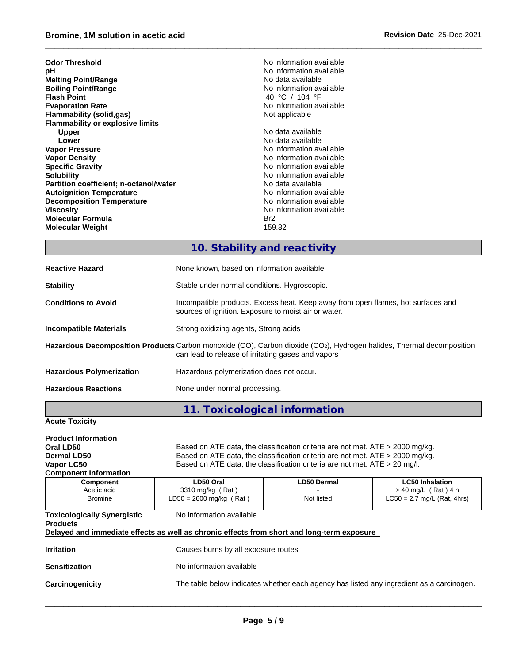## \_\_\_\_\_\_\_\_\_\_\_\_\_\_\_\_\_\_\_\_\_\_\_\_\_\_\_\_\_\_\_\_\_\_\_\_\_\_\_\_\_\_\_\_\_\_\_\_\_\_\_\_\_\_\_\_\_\_\_\_\_\_\_\_\_\_\_\_\_\_\_\_\_\_\_\_\_\_\_\_\_\_\_\_\_\_\_\_\_\_\_\_\_\_ **Bromine, 1M solutionin acetic acid Revision Date** 25-Dec-2021

| <b>Odor Threshold</b>                         | No information available |
|-----------------------------------------------|--------------------------|
| рH                                            | No information available |
| <b>Melting Point/Range</b>                    | No data available        |
| <b>Boiling Point/Range</b>                    | No information available |
| <b>Flash Point</b>                            | 40 °C / 104 °F           |
| <b>Evaporation Rate</b>                       | No information available |
| <b>Flammability (solid,gas)</b>               | Not applicable           |
| <b>Flammability or explosive limits</b>       |                          |
| <b>Upper</b>                                  | No data available        |
| Lower                                         | No data available        |
| <b>Vapor Pressure</b>                         | No information available |
| <b>Vapor Density</b>                          | No information available |
| <b>Specific Gravity</b>                       | No information available |
| <b>Solubility</b>                             | No information available |
| <b>Partition coefficient; n-octanol/water</b> | No data available        |
| <b>Autoignition Temperature</b>               | No information available |
| <b>Decomposition Temperature</b>              | No information available |
| Viscosity                                     | No information available |
| <b>Molecular Formula</b>                      | Br <sub>2</sub>          |
| <b>Molecular Weight</b>                       | 159.82                   |
|                                               |                          |

# **10. Stability and reactivity**

| <b>Reactive Hazard</b>          | None known, based on information available                                                                                                                                              |
|---------------------------------|-----------------------------------------------------------------------------------------------------------------------------------------------------------------------------------------|
| <b>Stability</b>                | Stable under normal conditions. Hygroscopic.                                                                                                                                            |
| <b>Conditions to Avoid</b>      | Incompatible products. Excess heat. Keep away from open flames, hot surfaces and<br>sources of ignition. Exposure to moist air or water.                                                |
| Incompatible Materials          | Strong oxidizing agents, Strong acids                                                                                                                                                   |
|                                 | Hazardous Decomposition Products Carbon monoxide (CO), Carbon dioxide (CO <sub>2</sub> ), Hydrogen halides, Thermal decomposition<br>can lead to release of irritating gases and vapors |
| <b>Hazardous Polymerization</b> | Hazardous polymerization does not occur.                                                                                                                                                |
| <b>Hazardous Reactions</b>      | None under normal processing.                                                                                                                                                           |
|                                 |                                                                                                                                                                                         |

# **11. Toxicological information**

## **Acute Toxicity**

| <b>Product Information</b>                            |                                                                                                                        |                                                                               |                                                                                          |  |  |  |  |  |  |
|-------------------------------------------------------|------------------------------------------------------------------------------------------------------------------------|-------------------------------------------------------------------------------|------------------------------------------------------------------------------------------|--|--|--|--|--|--|
| Oral LD50                                             | Based on ATE data, the classification criteria are not met. ATE > 2000 mg/kg.                                          |                                                                               |                                                                                          |  |  |  |  |  |  |
| Dermal LD50                                           |                                                                                                                        | Based on ATE data, the classification criteria are not met. ATE > 2000 mg/kg. |                                                                                          |  |  |  |  |  |  |
| Vapor LC50                                            | Based on ATE data, the classification criteria are not met. ATE > 20 mg/l.                                             |                                                                               |                                                                                          |  |  |  |  |  |  |
| <b>Component Information</b>                          |                                                                                                                        |                                                                               |                                                                                          |  |  |  |  |  |  |
| <b>Component</b>                                      | LD50 Oral                                                                                                              | <b>LD50 Dermal</b>                                                            | <b>LC50 Inhalation</b>                                                                   |  |  |  |  |  |  |
| Acetic acid                                           | 3310 mg/kg (Rat)                                                                                                       |                                                                               | $>$ 40 mg/L (Rat) 4 h                                                                    |  |  |  |  |  |  |
| <b>Bromine</b>                                        | LD50 = 2600 mg/kg (Rat)                                                                                                | Not listed                                                                    | $LC50 = 2.7$ mg/L (Rat, 4hrs)                                                            |  |  |  |  |  |  |
| <b>Toxicologically Synergistic</b><br><b>Products</b> | No information available<br>Delayed and immediate effects as well as chronic effects from short and long-term exposure |                                                                               |                                                                                          |  |  |  |  |  |  |
| <b>Irritation</b>                                     | Causes burns by all exposure routes                                                                                    |                                                                               |                                                                                          |  |  |  |  |  |  |
| <b>Sensitization</b>                                  | No information available                                                                                               |                                                                               |                                                                                          |  |  |  |  |  |  |
| Carcinogenicity                                       |                                                                                                                        |                                                                               | The table below indicates whether each agency has listed any ingredient as a carcinogen. |  |  |  |  |  |  |
|                                                       |                                                                                                                        |                                                                               |                                                                                          |  |  |  |  |  |  |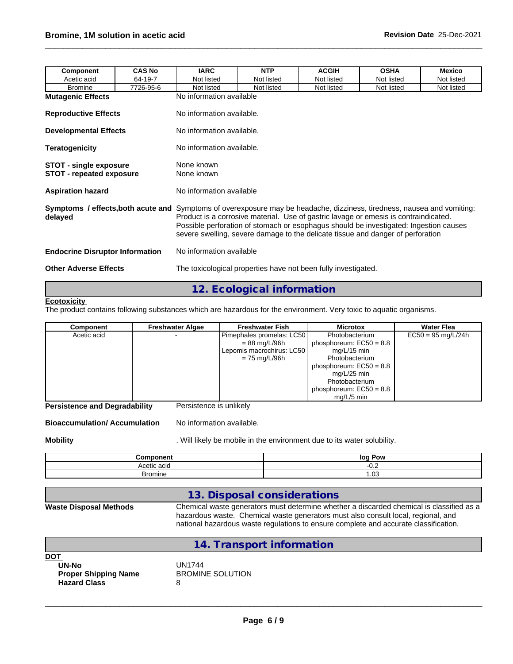| Component                                                 | <b>CAS No</b> | <b>IARC</b>                                                                                                                                                                                                                                                                                                                                                                                        | <b>NTP</b>                | <b>ACGIH</b> | <b>OSHA</b> | <b>Mexico</b> |  |  |  |  |
|-----------------------------------------------------------|---------------|----------------------------------------------------------------------------------------------------------------------------------------------------------------------------------------------------------------------------------------------------------------------------------------------------------------------------------------------------------------------------------------------------|---------------------------|--------------|-------------|---------------|--|--|--|--|
| Acetic acid                                               | 64-19-7       | Not listed                                                                                                                                                                                                                                                                                                                                                                                         | Not listed                | Not listed   | Not listed  | Not listed    |  |  |  |  |
| <b>Bromine</b>                                            | 7726-95-6     | Not listed                                                                                                                                                                                                                                                                                                                                                                                         | Not listed                | Not listed   | Not listed  | Not listed    |  |  |  |  |
| <b>Mutagenic Effects</b>                                  |               | No information available                                                                                                                                                                                                                                                                                                                                                                           |                           |              |             |               |  |  |  |  |
| <b>Reproductive Effects</b>                               |               | No information available.                                                                                                                                                                                                                                                                                                                                                                          |                           |              |             |               |  |  |  |  |
| <b>Developmental Effects</b>                              |               | No information available.                                                                                                                                                                                                                                                                                                                                                                          |                           |              |             |               |  |  |  |  |
| <b>Teratogenicity</b>                                     |               |                                                                                                                                                                                                                                                                                                                                                                                                    | No information available. |              |             |               |  |  |  |  |
| STOT - single exposure<br><b>STOT - repeated exposure</b> |               | None known<br>None known                                                                                                                                                                                                                                                                                                                                                                           |                           |              |             |               |  |  |  |  |
| <b>Aspiration hazard</b>                                  |               | No information available                                                                                                                                                                                                                                                                                                                                                                           |                           |              |             |               |  |  |  |  |
| delayed                                                   |               | <b>Symptoms / effects, both acute and</b> Symptoms of overexposure may be headache, dizziness, tiredness, nausea and vomiting:<br>Product is a corrosive material. Use of gastric lavage or emesis is contraindicated.<br>Possible perforation of stomach or esophagus should be investigated: Ingestion causes<br>severe swelling, severe damage to the delicate tissue and danger of perforation |                           |              |             |               |  |  |  |  |
| <b>Endocrine Disruptor Information</b>                    |               | No information available                                                                                                                                                                                                                                                                                                                                                                           |                           |              |             |               |  |  |  |  |
| <b>Other Adverse Effects</b>                              |               | The toxicological properties have not been fully investigated.                                                                                                                                                                                                                                                                                                                                     |                           |              |             |               |  |  |  |  |

# **12. Ecological information**

#### **Ecotoxicity**

The product contains following substances which are hazardous for the environment. Very toxic to aquatic organisms.

| <b>Component</b> | <b>Freshwater Algae</b> | <b>Freshwater Fish</b>    | <b>Microtox</b>           | <b>Water Flea</b>    |
|------------------|-------------------------|---------------------------|---------------------------|----------------------|
| Acetic acid      |                         | Pimephales promelas: LC50 | Photobacterium            | $EC50 = 95$ mg/L/24h |
|                  |                         | = 88 mg/L/96h             | phosphoreum: $EC50 = 8.8$ |                      |
|                  |                         | Lepomis macrochirus: LC50 | mg/L/15 min               |                      |
|                  |                         | $= 75$ mg/L/96h           | Photobacterium            |                      |
|                  |                         |                           | phosphoreum: $EC50 = 8.8$ |                      |
|                  |                         |                           | mg/L/25 min               |                      |
|                  |                         |                           | Photobacterium            |                      |
|                  |                         |                           | phosphoreum: $EC50 = 8.8$ |                      |
|                  |                         |                           | $ma/L/5$ min              |                      |

**Persistence and Degradability** Persistence is unlikely

**Bioaccumulation/ Accumulation** No information available.

**Mobility Mobility** . Will likely be mobile in the environment due to its water solubility.

| ີດmnດnent<br>  | log Pow  |
|----------------|----------|
| Acetic acir    | v.c      |
| <b>Bromine</b> | ററ<br>uo |

## **13. Disposal considerations**

### **Waste Disposal Methods** Chemical waste generators must determine whether a discarded chemical is classified as a hazardous waste. Chemical waste generators must also consult local, regional, and national hazardous waste regulations to ensure complete and accurate classification.

|                                                                           | 14. Transport information              |
|---------------------------------------------------------------------------|----------------------------------------|
| DOT<br><b>UN-No</b><br><b>Proper Shipping Name</b><br><b>Hazard Class</b> | UN1744<br><b>BROMINE SOLUTION</b><br>8 |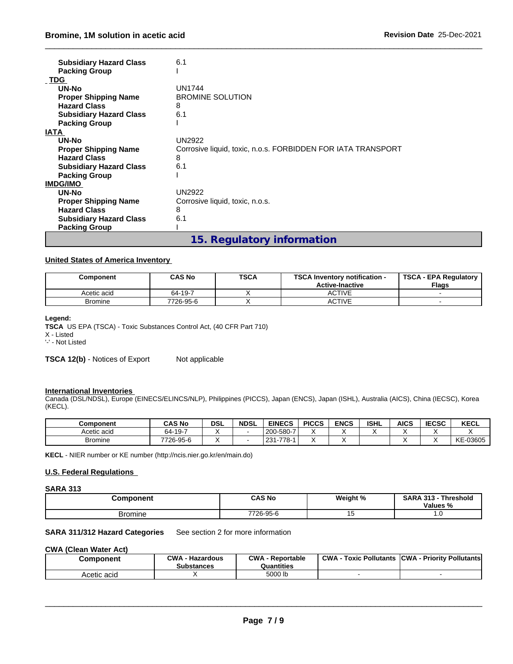| <b>Subsidiary Hazard Class</b> | 6.1                                                          |
|--------------------------------|--------------------------------------------------------------|
| <b>Packing Group</b>           |                                                              |
| <b>TDG</b>                     |                                                              |
| UN-No                          | <b>UN1744</b>                                                |
| <b>Proper Shipping Name</b>    | <b>BROMINE SOLUTION</b>                                      |
| <b>Hazard Class</b>            | 8                                                            |
| <b>Subsidiary Hazard Class</b> | 6.1                                                          |
| <b>Packing Group</b>           |                                                              |
| <b>IATA</b>                    |                                                              |
| UN-No                          | <b>UN2922</b>                                                |
| <b>Proper Shipping Name</b>    | Corrosive liquid, toxic, n.o.s. FORBIDDEN FOR IATA TRANSPORT |
| <b>Hazard Class</b>            | 8                                                            |
| <b>Subsidiary Hazard Class</b> | 6.1                                                          |
| <b>Packing Group</b>           |                                                              |
| <b>IMDG/IMO</b>                |                                                              |
| UN-No                          | <b>UN2922</b>                                                |
| <b>Proper Shipping Name</b>    | Corrosive liquid, toxic, n.o.s.                              |
| <b>Hazard Class</b>            | 8                                                            |
| <b>Subsidiary Hazard Class</b> | 6.1                                                          |
| <b>Packing Group</b>           |                                                              |
|                                | 15. Regulatory information                                   |

### **United States of America Inventory**

| Component      | <b>CAS No</b> | <b>TSCA</b> | <b>TSCA</b><br><b>\ Inventory notification -</b><br><b>Active-Inactive</b> | <b>TSCA - EPA Requiatory</b><br><b>Flags</b> |
|----------------|---------------|-------------|----------------------------------------------------------------------------|----------------------------------------------|
| Acetic acid    | 64-19-7       |             | <b>ACTIVE</b>                                                              |                                              |
| <b>Bromine</b> | 7726-95-6     |             | <b>ACTIVE</b>                                                              |                                              |

### **Legend:**

**TSCA** US EPA (TSCA) - Toxic Substances Control Act, (40 CFR Part 710) X - Listed

'-' - Not Listed

**TSCA 12(b)** - Notices of Export Not applicable

### **International Inventories**

Canada (DSL/NDSL), Europe (EINECS/ELINCS/NLP), Philippines (PICCS), Japan (ENCS), Japan (ISHL), Australia (AICS), China (IECSC), Korea (KECL).

| <b>Component</b> | <b>CAS No</b> | <b>DSL</b> | <b>NDSL</b> | <b>EINECS</b>                       | <b>PICCS</b> | <b>ENCS</b> | <b>ISHL</b> | <b>AICS</b> | <b>IECCO</b><br>າ∈ປວບ | KECL     |
|------------------|---------------|------------|-------------|-------------------------------------|--------------|-------------|-------------|-------------|-----------------------|----------|
| Acetic acid      | 64-19-7       |            |             | 1200-580-7                          | ۰.           |             |             |             |                       |          |
| <b>Bromine</b>   | 7726-95-6     |            |             | 778-<br>231<br>$\overline{ }$<br>-- | ۰.           |             |             |             |                       | KE-03605 |

**KECL** - NIER number or KE number (http://ncis.nier.go.kr/en/main.do)

### **U.S. Federal Regulations**

### **SARA 313**

| Component      | <b>CAS No</b> | Weight % | <b>SARA 313</b><br>· Threshold<br>Values % |  |
|----------------|---------------|----------|--------------------------------------------|--|
| <b>Bromine</b> | 7726-95-6     | v        | .                                          |  |

### **SARA 311/312 Hazard Categories** See section 2 for more information

### **CWA** (Clean Water Act)

| Component   | $\sim$ M/A<br>Hazardous<br><b>Substances</b> | CWA<br>Reportable<br>Quantities | <b>CWA</b><br>: Pollutants<br>Toxic | <b>ICWA</b><br>- Priority Pollutants |
|-------------|----------------------------------------------|---------------------------------|-------------------------------------|--------------------------------------|
| Acetic acid |                                              | 5000 lb                         |                                     |                                      |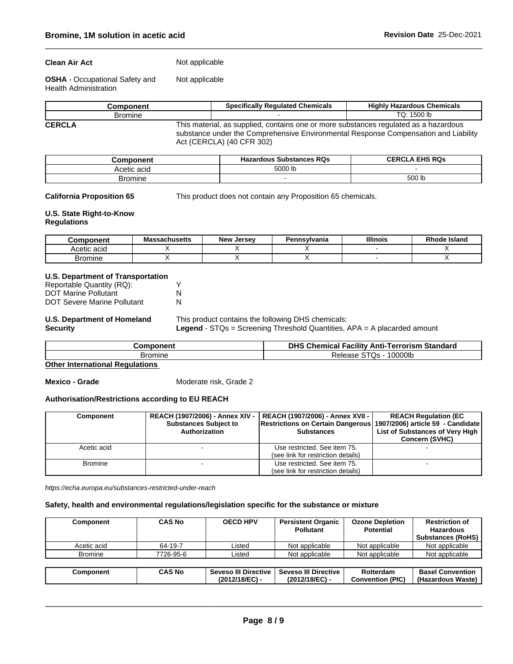### **Clean Air Act** Not applicable

**OSHA** - Occupational Safety and Health Administration Not applicable

|               | <b>Component</b> | <b>Specifically Requlated Chemicals</b>                                                                                                                                                                  | <b>Highly Hazardous Chemicals</b> |  |  |  |  |  |
|---------------|------------------|----------------------------------------------------------------------------------------------------------------------------------------------------------------------------------------------------------|-----------------------------------|--|--|--|--|--|
|               | <b>Bromine</b>   |                                                                                                                                                                                                          | TQ: 1500 lb                       |  |  |  |  |  |
| <b>CERCLA</b> |                  | This material, as supplied, contains one or more substances regulated as a hazardous<br>substance under the Comprehensive Environmental Response Compensation and Liability<br>Act (CERCLA) (40 CFR 302) |                                   |  |  |  |  |  |

| omponent    | <b>Substances RQs</b><br>Hazardous | <b>CERCLA EHS RQs</b> |
|-------------|------------------------------------|-----------------------|
| Acetic acid | 5000 lb                            |                       |
| Bromine     |                                    | 500 IL                |

**California Proposition 65** This product does not contain any Proposition 65 chemicals.

## **U.S. State Right-to-Know**

**Regulations**

| <b>Component</b> | <b>Massachusetts</b> | <b>New</b><br>Jersev | Pennsvlvania | <b>Illinois</b> | ∖ Islano<br>ode |
|------------------|----------------------|----------------------|--------------|-----------------|-----------------|
| Acetic acid      |                      |                      |              |                 |                 |
| Bromine          |                      |                      |              |                 |                 |

# **U.S. Department of Transportation**

| Reportable Quantity (RQ):   |  |
|-----------------------------|--|
| <b>DOT Marine Pollutant</b> |  |
| DOT Severe Marine Pollutant |  |

#### **U.S. Department of Homeland Security**

This product contains the following DHS chemicals: **Legend** - STQs = Screening Threshold Quantities, APA = A placarded amount

| $\sim$ $\sim$ $\sim$      |         | ---<br>DHS<br>Standard<br>Chemical<br>rorism<br>…- ferr⊂<br>∙acilitv<br>Anti- |  |
|---------------------------|---------|-------------------------------------------------------------------------------|--|
| ∽ري ∶<br>ำวงเ<br>w<br>. . | Bromine | 0000lb<br>. .                                                                 |  |

**Other International Regulations**

**Mexico - Grade** Moderate risk, Grade 2

### **Authorisation/Restrictions according to EU REACH**

| <b>Component</b> | <b>Substances Subject to</b><br>Authorization | REACH (1907/2006) - Annex XIV -   REACH (1907/2006) - Annex XVII -  <br>Restrictions on Certain Dangerous (1907/2006) article 59 - Candidate<br><b>Substances</b> | <b>REACH Regulation (EC)</b><br>List of Substances of Very High<br><b>Concern (SVHC)</b> |
|------------------|-----------------------------------------------|-------------------------------------------------------------------------------------------------------------------------------------------------------------------|------------------------------------------------------------------------------------------|
| Acetic acid      |                                               | Use restricted. See item 75.<br>(see link for restriction details)                                                                                                |                                                                                          |
| <b>Bromine</b>   |                                               | Use restricted. See item 75.<br>(see link for restriction details)                                                                                                |                                                                                          |

*https://echa.europa.eu/substances-restricted-under-reach*

### **Safety, health and environmental regulations/legislation specific for the substance or mixture**

| Component      | <b>CAS No</b> | <b>OECD HPV</b>      | <b>Persistent Organic</b><br><b>Pollutant</b> | <b>Ozone Depletion</b><br><b>Potential</b> | <b>Restriction of</b><br><b>Hazardous</b><br><b>Substances (RoHS)</b> |
|----------------|---------------|----------------------|-----------------------------------------------|--------------------------------------------|-----------------------------------------------------------------------|
| Acetic acid    | 64-19-7       | Listed               | Not applicable                                | Not applicable                             | Not applicable                                                        |
| <b>Bromine</b> | 7726-95-6     | Listed               | Not applicable                                | Not applicable                             | Not applicable                                                        |
|                |               |                      |                                               |                                            |                                                                       |
| Component      | <b>CAS No</b> | Seveso III Directive | <b>Seveso III Directive</b>                   | Rotterdam                                  | <b>Basel Convention</b>                                               |
|                |               | (2012/18/EC) -       | (2012/18/EC) -                                | <b>Convention (PIC)</b>                    | (Hazardous Waste)                                                     |